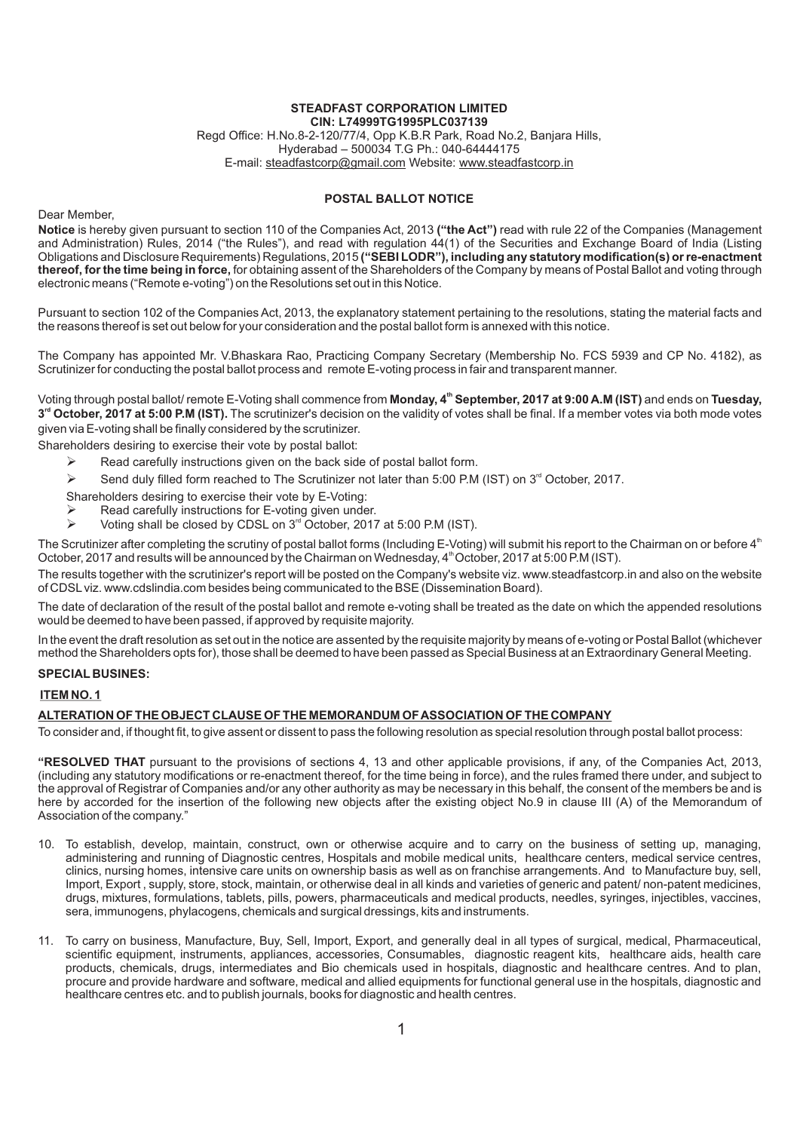#### **STEADFAST CORPORATION LIMITED CIN: L74999TG1995PLC037139**

Regd Office: H.No.8-2-120/77/4, Opp K.B.R Park, Road No.2, Banjara Hills, Hyderabad – 500034 T.G Ph.: 040-64444175 E-mail: steadfastcorp@gmail.com Website: www.steadfastcorp.in

# **POSTAL BALLOT NOTICE**

Dear Member,

**Notice** is hereby given pursuant to section 110 of the Companies Act, 2013 **("the Act")** read with rule 22 of the Companies (Management and Administration) Rules, 2014 ("the Rules"), and read with regulation 44(1) of the Securities and Exchange Board of India (Listing Obligations and Disclosure Requirements) Regulations, 2015 **("SEBI LODR"), including any statutory modification(s) or re-enactment thereof, for the time being in force,** for obtaining assent of the Shareholders of the Company by means of Postal Ballot and voting through electronic means ("Remote e-voting") on the Resolutions set out in this Notice.

Pursuant to section 102 of the Companies Act, 2013, the explanatory statement pertaining to the resolutions, stating the material facts and the reasons thereof is set out below for your consideration and the postal ballot form is annexed with this notice.

The Company has appointed Mr. V.Bhaskara Rao, Practicing Company Secretary (Membership No. FCS 5939 and CP No. 4182), as Scrutinizer for conducting the postal ballot process and remote E-voting process in fair and transparent manner.

**th** Voting through postal ballot/ remote E-Voting shall commence from **Monday, 4 September, 2017 at 9:00 A.M (IST)** and ends on **Tuesday,**  3<sup>rd</sup> October, 2017 at 5:00 P.M (IST). The scrutinizer's decision on the validity of votes shall be final. If a member votes via both mode votes given via E-voting shall be finally considered by the scrutinizer.

Shareholders desiring to exercise their vote by postal ballot:

- Read carefully instructions given on the back side of postal ballot form. Ø
- $\blacktriangleright$  Send duly filled form reached to The Scrutinizer not later than 5:00 P.M (IST) on 3<sup>rd</sup> October, 2017.
- Shareholders desiring to exercise their vote by E-Voting:<br>  $\geqslant$  Read carefully instructions for E-voting given under
- $\triangleright$  Read carefully instructions for E-voting given under.
- $\triangleright$  Voting shall be closed by CDSL on 3<sup>rd</sup> October, 2017 at 5:00 P.M (IST).

The Scrutinizer after completing the scrutiny of postal ballot forms (Including E-Voting) will submit his report to the Chairman on or before 4<sup>th</sup> October, 2017 and results will be announced by the Chairman on Wednesday, 4<sup>th</sup> October, 2017 at 5:00 P.M (IST).

The results together with the scrutinizer's report will be posted on the Company's website viz. www.steadfastcorp.in and also on the website of CDSLviz. www.cdslindia.com besides being communicated to the BSE (Dissemination Board).

The date of declaration of the result of the postal ballot and remote e-voting shall be treated as the date on which the appended resolutions would be deemed to have been passed, if approved by requisite majority.

In the event the draft resolution as set out in the notice are assented by the requisite majority by means of e-voting or Postal Ballot (whichever method the Shareholders opts for), those shall be deemed to have been passed as Special Business at an Extraordinary General Meeting.

### **SPECIAL BUSINES:**

## **ITEM NO. 1**

### **ALTERATION OF THE OBJECT CLAUSE OF THE MEMORANDUM OF ASSOCIATION OF THE COMPANY**

To consider and, if thought fit, to give assent or dissent to pass the following resolution as special resolution through postal ballot process:

**"RESOLVED THAT** pursuant to the provisions of sections 4, 13 and other applicable provisions, if any, of the Companies Act, 2013, (including any statutory modifications or re-enactment thereof, for the time being in force), and the rules framed there under, and subject to the approval of Registrar of Companies and/or any other authority as may be necessary in this behalf, the consent of the members be and is here by accorded for the insertion of the following new objects after the existing object No.9 in clause III (A) of the Memorandum of Association of the company."

- 10. To establish, develop, maintain, construct, own or otherwise acquire and to carry on the business of setting up, managing, administering and running of Diagnostic centres, Hospitals and mobile medical units, healthcare centers, medical service centres, clinics, nursing homes, intensive care units on ownership basis as well as on franchise arrangements. And to Manufacture buy, sell, Import, Export , supply, store, stock, maintain, or otherwise deal in all kinds and varieties of generic and patent/ non-patent medicines, drugs, mixtures, formulations, tablets, pills, powers, pharmaceuticals and medical products, needles, syringes, injectibles, vaccines, sera, immunogens, phylacogens, chemicals and surgical dressings, kits and instruments.
- 11. To carry on business, Manufacture, Buy, Sell, Import, Export, and generally deal in all types of surgical, medical, Pharmaceutical, scientific equipment, instruments, appliances, accessories, Consumables, diagnostic reagent kits, healthcare aids, health care products, chemicals, drugs, intermediates and Bio chemicals used in hospitals, diagnostic and healthcare centres. And to plan, procure and provide hardware and software, medical and allied equipments for functional general use in the hospitals, diagnostic and healthcare centres etc. and to publish journals, books for diagnostic and health centres.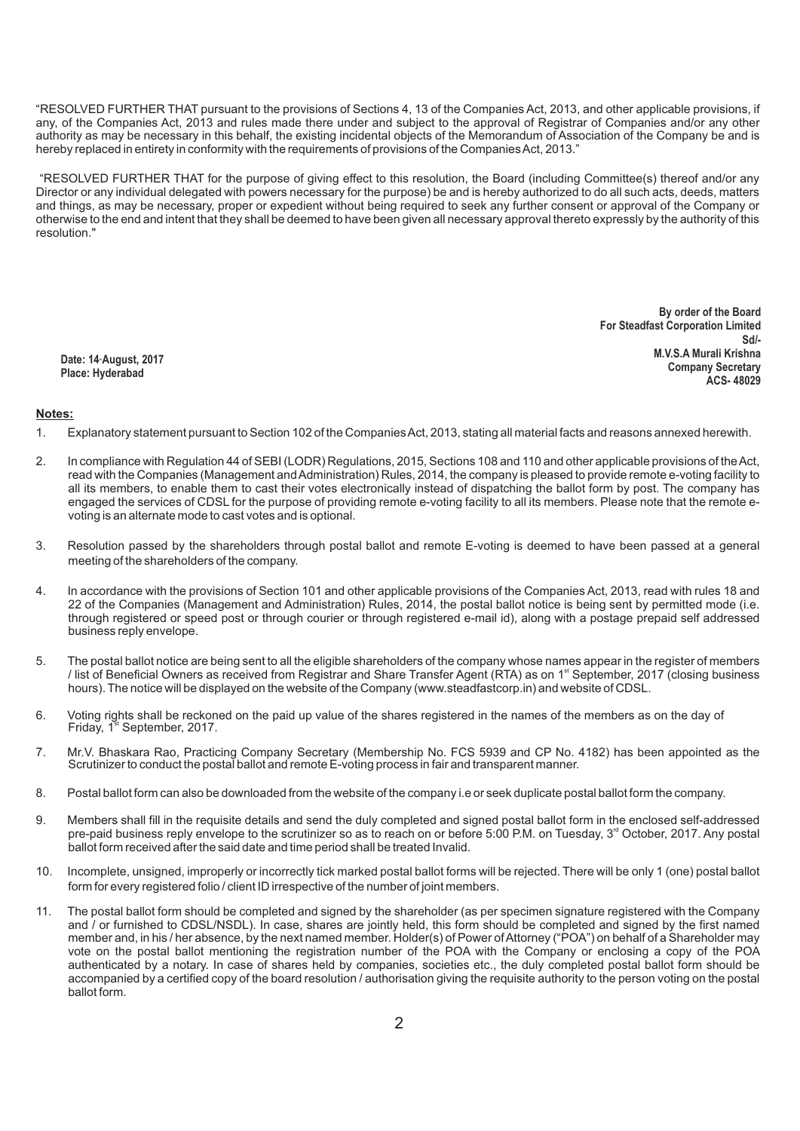"RESOLVED FURTHER THAT pursuant to the provisions of Sections 4, 13 of the Companies Act, 2013, and other applicable provisions, if any, of the Companies Act, 2013 and rules made there under and subject to the approval of Registrar of Companies and/or any other authority as may be necessary in this behalf, the existing incidental objects of the Memorandum of Association of the Company be and is hereby replaced in entirety in conformity with the requirements of provisions of the Companies Act, 2013."

"RESOLVED FURTHER THAT for the purpose of giving effect to this resolution, the Board (including Committee(s) thereof and/or any Director or any individual delegated with powers necessary for the purpose) be and is hereby authorized to do all such acts, deeds, matters and things, as may be necessary, proper or expedient without being required to seek any further consent or approval of the Company or otherwise to the end and intent that they shall be deemed to have been given all necessary approval thereto expressly by the authority of this resolution."

**Date: 14th August, 2017 Place: Hyderabad**

**By order of the Board For Steadfast Corporation Limited Sd/- M.V.S.A Murali Krishna Company Secretary ACS- 48029**

### **Notes:**

- 1. Explanatory statement pursuant to Section 102 of the Companies Act, 2013, stating all material facts and reasons annexed herewith.
- 2. In compliance with Regulation 44 of SEBI (LODR) Regulations, 2015, Sections 108 and 110 and other applicable provisions of the Act, read with the Companies (Management and Administration) Rules, 2014, the company is pleased to provide remote e-voting facility to all its members, to enable them to cast their votes electronically instead of dispatching the ballot form by post. The company has engaged the services of CDSL for the purpose of providing remote e-voting facility to all its members. Please note that the remote evoting is an alternate mode to cast votes and is optional.
- 3. Resolution passed by the shareholders through postal ballot and remote E-voting is deemed to have been passed at a general meeting of the shareholders of the company.
- 4. In accordance with the provisions of Section 101 and other applicable provisions of the Companies Act, 2013, read with rules 18 and 22 of the Companies (Management and Administration) Rules, 2014, the postal ballot notice is being sent by permitted mode (i.e. through registered or speed post or through courier or through registered e-mail id), along with a postage prepaid self addressed business reply envelope.
- 5. The postal ballot notice are being sent to all the eligible shareholders of the company whose names appear in the register of members Ist of Beneficial Owners as received from Registrar and Share Transfer Agent (RTA) as on 1<sup>st</sup> September, 2017 (closing business) hours). The notice will be displayed on the website of the Company (www.steadfastcorp.in) and website of CDSL.
- 6. Voting rights shall be reckoned on the paid up value of the shares registered in the names of the members as on the day of Friday, 1<sup>st</sup> September, 2017.
- 7. Mr.V. Bhaskara Rao, Practicing Company Secretary (Membership No. FCS 5939 and CP No. 4182) has been appointed as the Scrutinizer to conduct the postal ballot and remote E-voting process in fair and transparent manner.
- 8. Postal ballot form can also be downloaded from the website of the company i.e or seek duplicate postal ballot form the company.
- 9. Members shall fill in the requisite details and send the duly completed and signed postal ballot form in the enclosed self-addressed pre-paid business reply envelope to the scrutinizer so as to reach on or before 5:00 P.M. on Tuesday, 3<sup>rd</sup> October, 2017. Any postal ballot form received after the said date and time period shall be treated Invalid.
- 10. Incomplete, unsigned, improperly or incorrectly tick marked postal ballot forms will be rejected. There will be only 1 (one) postal ballot form for every registered folio / client ID irrespective of the number of joint members.
- 11. The postal ballot form should be completed and signed by the shareholder (as per specimen signature registered with the Company and / or furnished to CDSL/NSDL). In case, shares are jointly held, this form should be completed and signed by the first named member and, in his / her absence, by the next named member. Holder(s) of Power of Attorney ("POA") on behalf of a Shareholder may vote on the postal ballot mentioning the registration number of the POA with the Company or enclosing a copy of the POA authenticated by a notary. In case of shares held by companies, societies etc., the duly completed postal ballot form should be accompanied by a certified copy of the board resolution / authorisation giving the requisite authority to the person voting on the postal ballot form.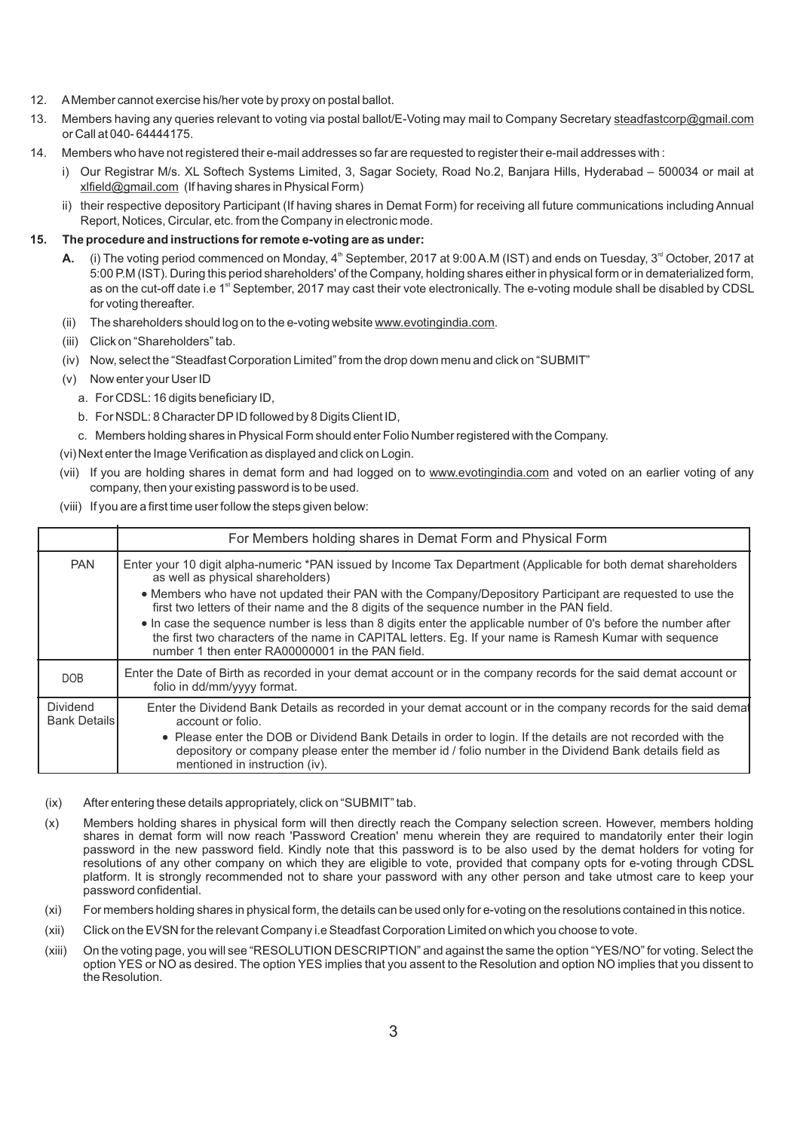- 12. AMember cannot exercise his/her vote by proxy on postal ballot.
- 13. Members having any queries relevant to voting via postal ballot/E-Voting may mail to Company Secretary steadfastcorp@gmail.com or Call at 040- 64444175.
- 14. Members who have not registered their e-mail addresses so far are requested to register their e-mail addresses with :
	- i) Our Registrar M/s. XL Softech Systems Limited, 3, Sagar Society, Road No.2, Banjara Hills, Hyderabad 500034 or mail at xlfield@gmail.com (If having shares in Physical Form)
	- ii) their respective depository Participant (If having shares in Demat Form) for receiving all future communications including Annual Report, Notices, Circular, etc. from the Company in electronic mode.

# **15. The procedure and instructions for remote e-voting are as under:**

- (i) The voting period commenced on Monday, 4<sup>th</sup> September, 2017 at 9:00 A.M (IST) and ends on Tuesday, 3<sup>rd</sup> October, 2017 at 5:00 P.M (IST). During this period shareholders' of the Company, holding shares either in physical form or in dematerialized form, as on the cut-off date i.e 1<sup>st</sup> September, 2017 may cast their vote electronically. The e-voting module shall be disabled by CDSL for voting thereafter.
- (ii) The shareholders should log on to the e-voting website www.evotingindia.com.
- (iii) Click on "Shareholders" tab.
- (iv) Now, select the "Steadfast Corporation Limited" from the drop down menu and click on "SUBMIT"
- (v) Now enter your User ID
	- a. For CDSL: 16 digits beneficiary ID,
	- b. For NSDL: 8 Character DPID followed by 8 Digits Client ID,
	- c. Members holding shares in Physical Form should enter Folio Number registered with the Company.

(vi) Next enter the Image Verification as displayed and click on Login.

- (vii) If you are holding shares in demat form and had logged on to www.evotingindia.com and voted on an earlier voting of any company, then your existing password is to be used.
- (viii) If you are a first time user follow the steps given below:

|                                        | For Members holding shares in Demat Form and Physical Form                                                                                                                                                                                                                    |  |  |
|----------------------------------------|-------------------------------------------------------------------------------------------------------------------------------------------------------------------------------------------------------------------------------------------------------------------------------|--|--|
| <b>PAN</b>                             | Enter your 10 digit alpha-numeric *PAN issued by Income Tax Department (Applicable for both demat shareholders<br>as well as physical shareholders)                                                                                                                           |  |  |
|                                        | • Members who have not updated their PAN with the Company/Depository Participant are requested to use the<br>first two letters of their name and the 8 digits of the sequence number in the PAN field.                                                                        |  |  |
|                                        | • In case the sequence number is less than 8 digits enter the applicable number of 0's before the number after<br>the first two characters of the name in CAPITAL letters. Eq. If your name is Ramesh Kumar with sequence<br>number 1 then enter RA00000001 in the PAN field. |  |  |
| <b>DOB</b>                             | Enter the Date of Birth as recorded in your demat account or in the company records for the said demat account or<br>folio in dd/mm/yyyy format.                                                                                                                              |  |  |
| <b>Dividend</b><br><b>Bank Details</b> | Enter the Dividend Bank Details as recorded in your demat account or in the company records for the said demat<br>account or folio.                                                                                                                                           |  |  |
|                                        | • Please enter the DOB or Dividend Bank Details in order to login. If the details are not recorded with the<br>depository or company please enter the member id / folio number in the Dividend Bank details field as<br>mentioned in instruction (iv).                        |  |  |

- (ix) After entering these details appropriately, click on "SUBMIT" tab.
- (x) Members holding shares in physical form will then directly reach the Company selection screen. However, members holding shares in demat form will now reach 'Password Creation' menu wherein they are required to mandatorily enter their login password in the new password field. Kindly note that this password is to be also used by the demat holders for voting for resolutions of any other company on which they are eligible to vote, provided that company opts for e-voting through CDSL platform. It is strongly recommended not to share your password with any other person and take utmost care to keep your password confidential.
- (xi) For members holding shares in physical form, the details can be used only for e-voting on the resolutions contained in this notice.
- (xii) Click on the EVSN for the relevant Company i.e Steadfast Corporation Limited on which you choose to vote.
- (xiii) On the voting page, you will see "RESOLUTION DESCRIPTION" and against the same the option "YES/NO" for voting. Select the option YES or NO as desired. The option YES implies that you assent to the Resolution and option NO implies that you dissent to the Resolution.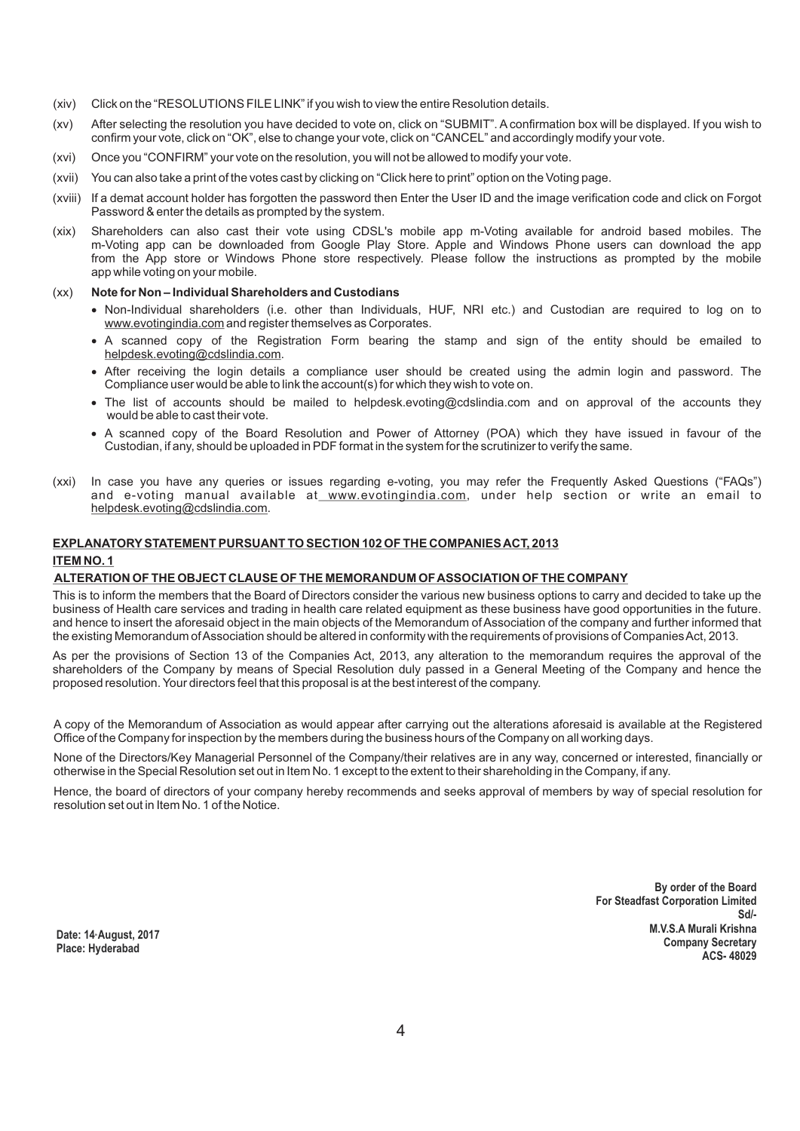- (xiv) Click on the "RESOLUTIONS FILE LINK" if you wish to view the entire Resolution details.
- (xv) After selecting the resolution you have decided to vote on, click on "SUBMIT". Aconfirmation box will be displayed. If you wish to confirm your vote, click on "OK", else to change your vote, click on "CANCEL" and accordingly modify your vote.
- (xvi) Once you "CONFIRM" your vote on the resolution, you will not be allowed to modify your vote.
- (xvii) You can also take a print of the votes cast by clicking on "Click here to print" option on the Voting page.
- (xviii) If a demat account holder has forgotten the password then Enter the User ID and the image verification code and click on Forgot Password & enter the details as prompted by the system.
- (xix) Shareholders can also cast their vote using CDSL's mobile app m-Voting available for android based mobiles. The m-Voting app can be downloaded from Google Play Store. Apple and Windows Phone users can download the app from the App store or Windows Phone store respectively. Please follow the instructions as prompted by the mobile app while voting on your mobile.

#### (xx) **Note for Non – Individual Shareholders and Custodians**

- ?Non-Individual shareholders (i.e. other than Individuals, HUF, NRI etc.) and Custodian are required to log on to www.evotingindia.com and register themselves as Corporates.
- ?A scanned copy of the Registration Form bearing the stamp and sign of the entity should be emailed to helpdesk.evoting@cdslindia.com.
- ?After receiving the login details a compliance user should be created using the admin login and password. The Compliance user would be able to link the account(s) for which they wish to vote on.
- ?The list of accounts should be mailed to helpdesk.evoting@cdslindia.com and on approval of the accounts they would be able to cast their vote.
- ?A scanned copy of the Board Resolution and Power of Attorney (POA) which they have issued in favour of the Custodian, if any, should be uploaded in PDF format in the system for the scrutinizer to verify the same.
- (xxi) In case you have any queries or issues regarding e-voting, you may refer the Frequently Asked Questions ("FAQs") and e-voting manual available at www.evotingindia.com, under help section or write an email to helpdesk.evoting@cdslindia.com.

## **EXPLANATORYSTATEMENT PURSUANT TO SECTION 102 OF THE COMPANIES ACT, 2013**

### **ITEM NO. 1**

#### **ALTERATION OF THE OBJECT CLAUSE OF THE MEMORANDUM OF ASSOCIATION OF THE COMPANY**

This is to inform the members that the Board of Directors consider the various new business options to carry and decided to take up the business of Health care services and trading in health care related equipment as these business have good opportunities in the future. and hence to insert the aforesaid object in the main objects of the Memorandum of Association of the company and further informed that the existing Memorandum of Association should be altered in conformity with the requirements of provisions of Companies Act, 2013.

As per the provisions of Section 13 of the Companies Act, 2013, any alteration to the memorandum requires the approval of the shareholders of the Company by means of Special Resolution duly passed in a General Meeting of the Company and hence the proposed resolution. Your directors feel that this proposal is at the best interest of the company.

A copy of the Memorandum of Association as would appear after carrying out the alterations aforesaid is available at the Registered Office of the Company for inspection by the members during the business hours of the Company on all working days.

None of the Directors/Key Managerial Personnel of the Company/their relatives are in any way, concerned or interested, financially or otherwise in the Special Resolution set out in Item No. 1 except to the extent to their shareholding in the Company, if any.

Hence, the board of directors of your company hereby recommends and seeks approval of members by way of special resolution for resolution set out in Item No. 1 of the Notice.

> **By order of the Board For Steadfast Corporation Limited Sd/- M.V.S.A Murali Krishna Company Secretary ACS- 48029**

**Date: 14th August, 2017 Place: Hyderabad**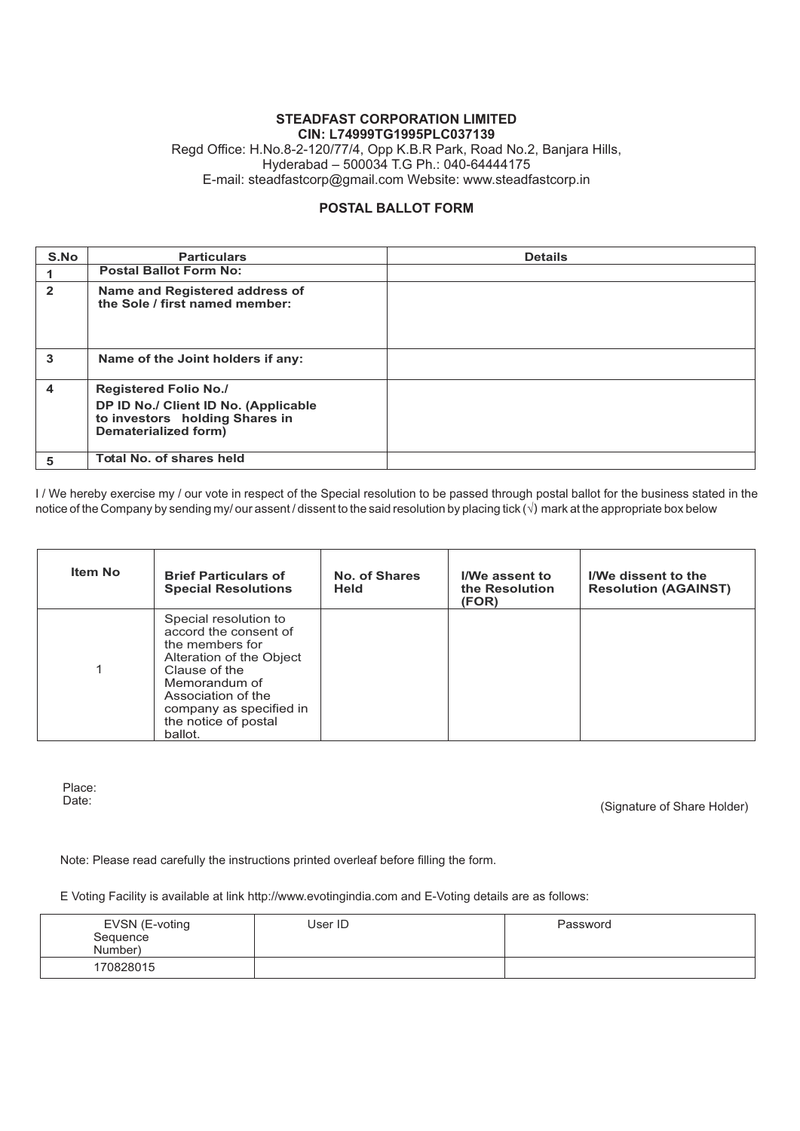## **STEADFAST CORPORATION LIMITED CIN: L74999TG1995PLC037139** Regd Office: H.No.8-2-120/77/4, Opp K.B.R Park, Road No.2, Banjara Hills, Hyderabad – 500034 T.G Ph.: 040-64444175 E-mail: steadfastcorp@gmail.com Website: www.steadfastcorp.in

# **POSTAL BALLOT FORM**

| S.No                | <b>Particulars</b>                                                                                                             | <b>Details</b> |
|---------------------|--------------------------------------------------------------------------------------------------------------------------------|----------------|
|                     | <b>Postal Ballot Form No:</b>                                                                                                  |                |
| $\mathbf{2}$        | Name and Registered address of<br>the Sole / first named member:                                                               |                |
| 3                   | Name of the Joint holders if any:                                                                                              |                |
| $\overline{\bf{4}}$ | <b>Registered Folio No./</b><br>DP ID No./ Client ID No. (Applicable<br>to investors holding Shares in<br>Dematerialized form) |                |
| 5                   | Total No. of shares held                                                                                                       |                |

I / We hereby exercise my / our vote in respect of the Special resolution to be passed through postal ballot for the business stated in the notice of the Company by sending my/ our assent / dissent to the said resolution by placing tick (**v**) mark at the appropriate box below

| <b>Item No</b> | <b>Brief Particulars of</b><br><b>Special Resolutions</b>                                                                                                                                                           | No. of Shares<br><b>Held</b> | I/We assent to<br>the Resolution<br>(FOR) | I/We dissent to the<br><b>Resolution (AGAINST)</b> |
|----------------|---------------------------------------------------------------------------------------------------------------------------------------------------------------------------------------------------------------------|------------------------------|-------------------------------------------|----------------------------------------------------|
| 1              | Special resolution to<br>accord the consent of<br>the members for<br>Alteration of the Object<br>Clause of the<br>Memorandum of<br>Association of the<br>company as specified in<br>the notice of postal<br>ballot. |                              |                                           |                                                    |

Place:<br>Date:

(Signature of Share Holder)

Note: Please read carefully the instructions printed overleaf before filling the form.

E Voting Facility is available at link http://www.evotingindia.com and E-Voting details are as follows:

| EVSN (E-voting<br>Sequence<br>Number) | User ID | Password |
|---------------------------------------|---------|----------|
| 170828015                             |         |          |